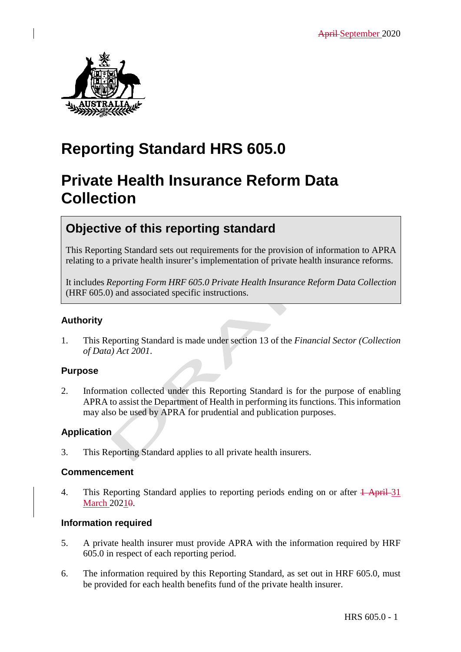

# **Reporting Standard HRS 605.0**

# **Private Health Insurance Reform Data Collection**

## **Objective of this reporting standard**

This Reporting Standard sets out requirements for the provision of information to APRA relating to a private health insurer's implementation of private health insurance reforms.

It includes *Reporting Form HRF 605.0 Private Health Insurance Reform Data Collection* (HRF 605.0) and associated specific instructions.

### **Authority**

1. This Reporting Standard is made under section 13 of the *Financial Sector (Collection of Data) Act 2001*.

### **Purpose**

2. Information collected under this Reporting Standard is for the purpose of enabling APRA to assist the Department of Health in performing its functions. This information may also be used by APRA for prudential and publication purposes.

### **Application**

3. This Reporting Standard applies to all private health insurers.

### **Commencement**

4. This Reporting Standard applies to reporting periods ending on or after  $\frac{1}{2}$  April 31 March 20210.

### **Information required**

- 5. A private health insurer must provide APRA with the information required by HRF 605.0 in respect of each reporting period.
- 6. The information required by this Reporting Standard, as set out in HRF 605.0, must be provided for each health benefits fund of the private health insurer.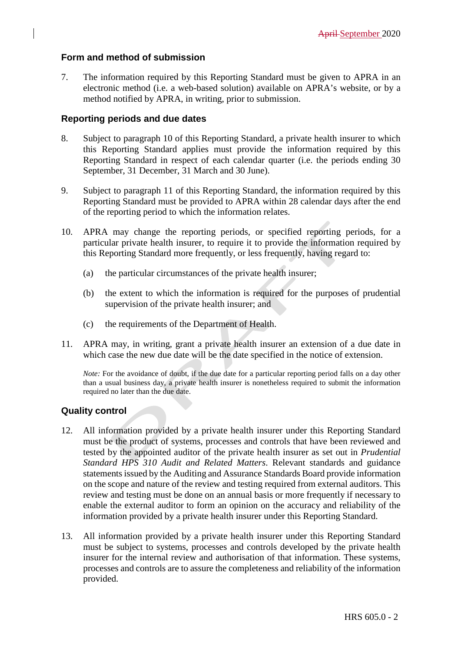#### **Form and method of submission**

7. The information required by this Reporting Standard must be given to APRA in an electronic method (i.e. a web-based solution) available on APRA's website, or by a method notified by APRA, in writing, prior to submission.

#### **Reporting periods and due dates**

- 8. Subject to paragraph 10 of this Reporting Standard, a private health insurer to which this Reporting Standard applies must provide the information required by this Reporting Standard in respect of each calendar quarter (i.e. the periods ending 30 September, 31 December, 31 March and 30 June).
- 9. Subject to paragraph 11 of this Reporting Standard, the information required by this Reporting Standard must be provided to APRA within 28 calendar days after the end of the reporting period to which the information relates.
- 10. APRA may change the reporting periods, or specified reporting periods, for a particular private health insurer, to require it to provide the information required by this Reporting Standard more frequently, or less frequently, having regard to:
	- (a) the particular circumstances of the private health insurer;
	- (b) the extent to which the information is required for the purposes of prudential supervision of the private health insurer; and
	- (c) the requirements of the Department of Health.
- 11. APRA may, in writing, grant a private health insurer an extension of a due date in which case the new due date will be the date specified in the notice of extension.

*Note:* For the avoidance of doubt, if the due date for a particular reporting period falls on a day other than a usual business day, a private health insurer is nonetheless required to submit the information required no later than the due date.

#### **Quality control**

- 12. All information provided by a private health insurer under this Reporting Standard must be the product of systems, processes and controls that have been reviewed and tested by the appointed auditor of the private health insurer as set out in *Prudential Standard HPS 310 Audit and Related Matters*. Relevant standards and guidance statements issued by the Auditing and Assurance Standards Board provide information on the scope and nature of the review and testing required from external auditors. This review and testing must be done on an annual basis or more frequently if necessary to enable the external auditor to form an opinion on the accuracy and reliability of the information provided by a private health insurer under this Reporting Standard.
- 13. All information provided by a private health insurer under this Reporting Standard must be subject to systems, processes and controls developed by the private health insurer for the internal review and authorisation of that information. These systems, processes and controls are to assure the completeness and reliability of the information provided.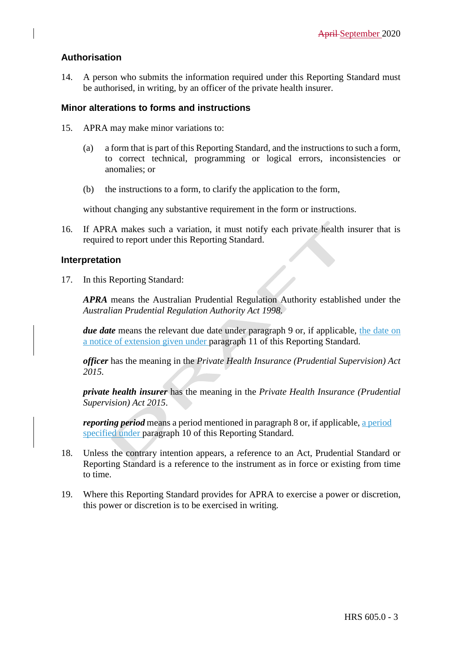#### **Authorisation**

14. A person who submits the information required under this Reporting Standard must be authorised, in writing, by an officer of the private health insurer.

#### **Minor alterations to forms and instructions**

- 15. APRA may make minor variations to:
	- (a) a form that is part of this Reporting Standard, and the instructions to such a form, to correct technical, programming or logical errors, inconsistencies or anomalies; or
	- (b) the instructions to a form, to clarify the application to the form,

without changing any substantive requirement in the form or instructions.

16. If APRA makes such a variation, it must notify each private health insurer that is required to report under this Reporting Standard.

#### **Interpretation**

17. In this Reporting Standard:

*APRA* means the Australian Prudential Regulation Authority established under the *Australian Prudential Regulation Authority Act 1998.*

*due date* means the relevant due date under paragraph 9 or, if applicable, the date on a notice of extension given under paragraph 11 of this Reporting Standard.

*officer* has the meaning in the *Private Health Insurance (Prudential Supervision) Act 2015.*

*private health insurer* has the meaning in the *Private Health Insurance (Prudential Supervision) Act 2015*.

*reporting period* means a period mentioned in paragraph 8 or, if applicable, a period specified under paragraph 10 of this Reporting Standard.

- 18. Unless the contrary intention appears, a reference to an Act, Prudential Standard or Reporting Standard is a reference to the instrument as in force or existing from time to time.
- 19. Where this Reporting Standard provides for APRA to exercise a power or discretion, this power or discretion is to be exercised in writing.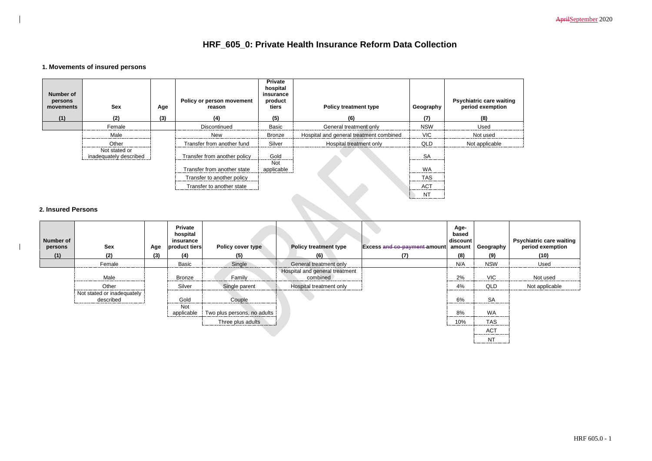AprilSeptember 2020

| e waiting<br>ıption |
|---------------------|
|                     |
| d                   |
| able                |

# **HRF\_605\_0: Private Health Insurance Reform Data Collection**

## **1. Movements of insured persons**

| Number of<br>persons<br>movements | <b>Sex</b>                              | Age | Policy or person movement<br>reason | <b>Private</b><br>hospital<br>insurance<br>product<br>tiers | <b>Policy treatment type</b>            | Geography  | <b>Psychiatric care waiting</b><br>period exemption |
|-----------------------------------|-----------------------------------------|-----|-------------------------------------|-------------------------------------------------------------|-----------------------------------------|------------|-----------------------------------------------------|
| (1)                               | (2)                                     | (3) | (4)                                 | (5)                                                         | (6)                                     | (7)        | (8)                                                 |
|                                   | Female                                  |     | Discontinued                        | <b>Basic</b>                                                | General treatment only                  | <b>NSW</b> | Used                                                |
|                                   | Male                                    |     | New                                 | <b>Bronze</b>                                               | Hospital and general treatment combined | <b>VIC</b> | Not used                                            |
|                                   | Other                                   |     | Transfer from another fund          | Silver                                                      | Hospital treatment only                 | QLD        | Not applicable                                      |
|                                   | Not stated or<br>inadequately described |     | Transfer from another policy        | Gold                                                        |                                         | <b>SA</b>  |                                                     |
|                                   |                                         |     | Transfer from another state         | Not<br>applicable                                           |                                         | <b>WA</b>  |                                                     |
|                                   |                                         |     | Transfer to another policy          |                                                             |                                         | <b>TAS</b> |                                                     |
|                                   |                                         |     | Transfer to another state           |                                                             |                                         | <b>ACT</b> |                                                     |
|                                   |                                         |     |                                     |                                                             |                                         | <b>NT</b>  |                                                     |
| <b>2. Insured Persons</b>         |                                         |     |                                     |                                                             |                                         |            |                                                     |

### **2. Insured Persons**

| <b>Number of</b><br>persons | <b>Sex</b>                              | Age | <b>Private</b><br>hospital<br>insurance<br>product tiers | Policy cover type           | <b>Policy treatment type</b>               | <b>Excess and co-payment amount</b> | Age-<br>based<br>discount<br>amount | Geography           | <b>Psychiatric care waiting<br/>period exemption</b> |
|-----------------------------|-----------------------------------------|-----|----------------------------------------------------------|-----------------------------|--------------------------------------------|-------------------------------------|-------------------------------------|---------------------|------------------------------------------------------|
| (1)                         | (2)                                     | (3) | (4)                                                      | (5)                         | (6)                                        | (7)                                 | (8)                                 | (9)                 | (10)                                                 |
|                             | Female                                  |     | Basic                                                    | Single                      | General treatment only                     |                                     | N/A                                 | <b>NSW</b>          | Used                                                 |
|                             | Male                                    |     | <b>Bronze</b>                                            | Family                      | Hospital and general treatment<br>combined |                                     | 2%                                  | <b>VIC</b>          | Not used                                             |
|                             | Other                                   |     | Silver                                                   | Single parent               | Hospital treatment only                    |                                     | 4%                                  | QLD                 | Not applicable                                       |
|                             | Not stated or inadequately<br>described |     | Gold<br>Not                                              | Couple                      |                                            |                                     | 6%                                  | <b>SA</b>           |                                                      |
|                             |                                         |     | applicable                                               | Two plus persons, no adults |                                            |                                     | 8%                                  | WA                  |                                                      |
|                             |                                         |     |                                                          | Three plus adults           |                                            |                                     | 10%                                 | <b>TAS</b>          |                                                      |
|                             |                                         |     |                                                          |                             |                                            |                                     |                                     | <b>ACT</b><br>----- |                                                      |
|                             |                                         |     |                                                          |                             |                                            |                                     |                                     | <b>NT</b>           |                                                      |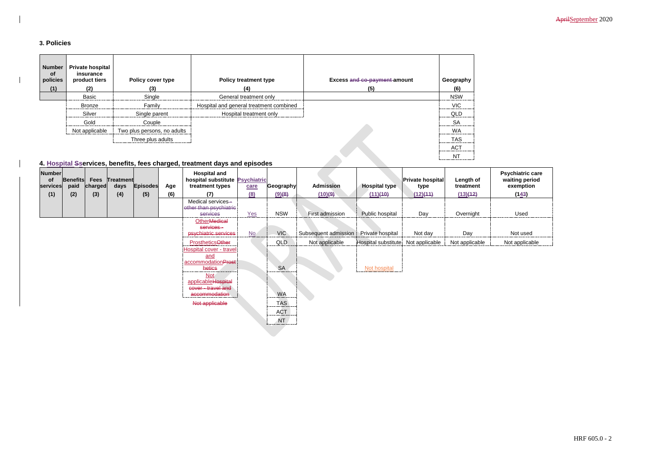AprilSeptember 2020

### **3. Policies**

| <b>Number</b><br>of<br>policies<br>(1) | <b>Private hospital</b><br>insurance<br>product tiers<br>(2) | <b>Policy cover type</b><br>(3) | <b>Policy treatment type</b><br>(4)     | Excess and co-payment amount<br>(5) | Geography<br>(6) |
|----------------------------------------|--------------------------------------------------------------|---------------------------------|-----------------------------------------|-------------------------------------|------------------|
|                                        | <b>Basic</b>                                                 | Single                          | General treatment only                  |                                     | <b>NSW</b>       |
|                                        | Bronze                                                       | Family                          | Hospital and general treatment combined |                                     | <b>VIC</b>       |
|                                        | Silver                                                       | Single parent                   | Hospital treatment only                 |                                     | QLD              |
|                                        | Gold                                                         | Couple                          |                                         |                                     | <b>SA</b>        |
|                                        | Not applicable                                               | Two plus persons, no adults     |                                         |                                     | <b>WA</b>        |
|                                        |                                                              | Three plus adults               |                                         |                                     | <b>TAS</b>       |
|                                        |                                                              |                                 |                                         |                                     | <b>ACT</b>       |
|                                        |                                                              |                                 |                                         |                                     | NT               |

## **4. Hospital Sservices, benefits, fees charged, treatment days and episodes**

| <b>Psychiatric care</b><br>waiting period<br>exemption<br>(143) |
|-----------------------------------------------------------------|
| Used                                                            |
| Not used                                                        |
| Not applicable                                                  |

| <b>Number</b><br>of<br>services | <b>Benefits</b><br>paid | Fees<br>charged | Treatment<br>days | <b>Episodes</b> | Age | <b>Hospital and</b><br>hospital substitute Psychiatric<br>treatment types                                                | care | Geography                             | <b>Admission</b>     | <b>Hospital type</b> | Private hospital<br>type | Length of<br>treatment | Psychiatric car<br>waiting period<br>exemption |
|---------------------------------|-------------------------|-----------------|-------------------|-----------------|-----|--------------------------------------------------------------------------------------------------------------------------|------|---------------------------------------|----------------------|----------------------|--------------------------|------------------------|------------------------------------------------|
| (1)                             | (2)                     | (3)             | (4)               | (5)             | (6) | (7)                                                                                                                      | (8)  | (9)(8)                                | (10)(9)              | (11)(40)             | (12)(44)                 | (13)(12)               | (143)                                          |
|                                 |                         |                 |                   |                 |     | Medical services-<br>other than psychiatric<br>services                                                                  | Yes  | <b>NSW</b>                            | First admission      | Public hospital      | Day                      | Overnight              | Used                                           |
|                                 |                         |                 |                   |                 |     | <b>Other</b> Medical<br>services-                                                                                        |      |                                       |                      |                      |                          |                        |                                                |
|                                 |                         |                 |                   |                 |     | psychiatric services                                                                                                     | No.  | VIC                                   | Subsequent admission | Private hospital     | Not day                  | Day                    | Not used                                       |
|                                 |                         |                 |                   |                 |     | <b>ProstheticsOther</b>                                                                                                  |      | <b>QLD</b>                            | Not applicable       | Hospital substitute  | Not applicable           | Not applicable         | Not applicable                                 |
|                                 |                         |                 |                   |                 |     | Hospital cover - travel<br>and<br>accommodationProst<br>hetics<br><b>Not</b><br>applicableHospital<br>cover - travel and |      | <b>SA</b>                             |                      | Not hospital         |                          |                        |                                                |
|                                 |                         |                 |                   |                 |     | accommodation                                                                                                            |      | <b>WA</b>                             |                      |                      |                          |                        |                                                |
|                                 |                         |                 |                   |                 |     | Not applicable                                                                                                           |      | <b>TAS</b><br><b>ACT</b><br><b>NT</b> |                      |                      |                          |                        |                                                |
|                                 |                         |                 |                   |                 |     |                                                                                                                          |      |                                       |                      |                      |                          |                        |                                                |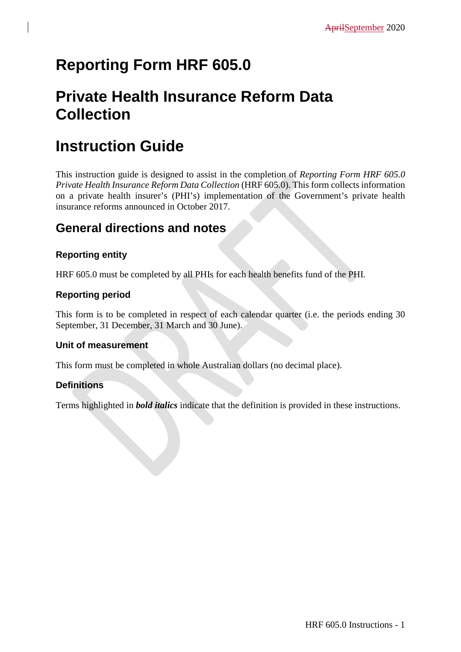# **Reporting Form HRF 605.0**

# **Private Health Insurance Reform Data Collection**

# **Instruction Guide**

This instruction guide is designed to assist in the completion of *Reporting Form HRF 605.0 Private Health Insurance Reform Data Collection* (HRF 605.0). This form collects information on a private health insurer's (PHI's) implementation of the Government's private health insurance reforms announced in October 2017.

## **General directions and notes**

## **Reporting entity**

HRF 605.0 must be completed by all PHIs for each health benefits fund of the PHI.

## **Reporting period**

This form is to be completed in respect of each calendar quarter (i.e. the periods ending 30 September, 31 December, 31 March and 30 June).

### **Unit of measurement**

This form must be completed in whole Australian dollars (no decimal place).

## **Definitions**

Terms highlighted in *bold italics* indicate that the definition is provided in these instructions.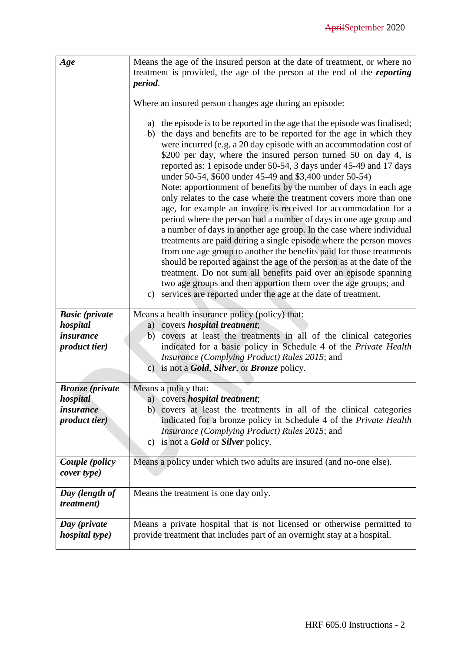| Age                                   | Means the age of the insured person at the date of treatment, or where no<br>treatment is provided, the age of the person at the end of the <i>reporting</i>                                                                                                                                                                                                                                                                                                                                                                                                                                                                                                                                                                                                                                                                                                                                                                                                                                                                                                                                                                                                                                                                 |
|---------------------------------------|------------------------------------------------------------------------------------------------------------------------------------------------------------------------------------------------------------------------------------------------------------------------------------------------------------------------------------------------------------------------------------------------------------------------------------------------------------------------------------------------------------------------------------------------------------------------------------------------------------------------------------------------------------------------------------------------------------------------------------------------------------------------------------------------------------------------------------------------------------------------------------------------------------------------------------------------------------------------------------------------------------------------------------------------------------------------------------------------------------------------------------------------------------------------------------------------------------------------------|
|                                       | period.                                                                                                                                                                                                                                                                                                                                                                                                                                                                                                                                                                                                                                                                                                                                                                                                                                                                                                                                                                                                                                                                                                                                                                                                                      |
|                                       | Where an insured person changes age during an episode:                                                                                                                                                                                                                                                                                                                                                                                                                                                                                                                                                                                                                                                                                                                                                                                                                                                                                                                                                                                                                                                                                                                                                                       |
|                                       | a) the episode is to be reported in the age that the episode was finalised;<br>b) the days and benefits are to be reported for the age in which they<br>were incurred (e.g. a 20 day episode with an accommodation cost of<br>\$200 per day, where the insured person turned 50 on day 4, is<br>reported as: 1 episode under 50-54, 3 days under 45-49 and 17 days<br>under 50-54, \$600 under 45-49 and \$3,400 under 50-54)<br>Note: apportionment of benefits by the number of days in each age<br>only relates to the case where the treatment covers more than one<br>age, for example an invoice is received for accommodation for a<br>period where the person had a number of days in one age group and<br>a number of days in another age group. In the case where individual<br>treatments are paid during a single episode where the person moves<br>from one age group to another the benefits paid for those treatments<br>should be reported against the age of the person as at the date of the<br>treatment. Do not sum all benefits paid over an episode spanning<br>two age groups and then apportion them over the age groups; and<br>services are reported under the age at the date of treatment.<br>c) |
| <b>Basic</b> (private                 | Means a health insurance policy (policy) that:                                                                                                                                                                                                                                                                                                                                                                                                                                                                                                                                                                                                                                                                                                                                                                                                                                                                                                                                                                                                                                                                                                                                                                               |
| hospital<br><i>insurance</i>          | a) covers <i>hospital treatment</i> ;<br>covers at least the treatments in all of the clinical categories<br>b)                                                                                                                                                                                                                                                                                                                                                                                                                                                                                                                                                                                                                                                                                                                                                                                                                                                                                                                                                                                                                                                                                                              |
| product tier)                         | indicated for a basic policy in Schedule 4 of the Private Health                                                                                                                                                                                                                                                                                                                                                                                                                                                                                                                                                                                                                                                                                                                                                                                                                                                                                                                                                                                                                                                                                                                                                             |
|                                       | Insurance (Complying Product) Rules 2015; and                                                                                                                                                                                                                                                                                                                                                                                                                                                                                                                                                                                                                                                                                                                                                                                                                                                                                                                                                                                                                                                                                                                                                                                |
|                                       | c) is not a <b>Gold</b> , <b>Silver</b> , or <b>Bronze</b> policy.                                                                                                                                                                                                                                                                                                                                                                                                                                                                                                                                                                                                                                                                                                                                                                                                                                                                                                                                                                                                                                                                                                                                                           |
| <b>Bronze</b> (private                | Means a policy that:                                                                                                                                                                                                                                                                                                                                                                                                                                                                                                                                                                                                                                                                                                                                                                                                                                                                                                                                                                                                                                                                                                                                                                                                         |
| hospital                              | a) covers <i>hospital treatment</i> ;                                                                                                                                                                                                                                                                                                                                                                                                                                                                                                                                                                                                                                                                                                                                                                                                                                                                                                                                                                                                                                                                                                                                                                                        |
| <i>insurance</i>                      | b) covers at least the treatments in all of the clinical categories                                                                                                                                                                                                                                                                                                                                                                                                                                                                                                                                                                                                                                                                                                                                                                                                                                                                                                                                                                                                                                                                                                                                                          |
| <i>product tier</i> )                 | indicated for a bronze policy in Schedule 4 of the Private Health<br><i>Insurance (Complying Product) Rules 2015; and</i>                                                                                                                                                                                                                                                                                                                                                                                                                                                                                                                                                                                                                                                                                                                                                                                                                                                                                                                                                                                                                                                                                                    |
|                                       | c) is not a <b>Gold</b> or <b>Silver</b> policy.                                                                                                                                                                                                                                                                                                                                                                                                                                                                                                                                                                                                                                                                                                                                                                                                                                                                                                                                                                                                                                                                                                                                                                             |
|                                       |                                                                                                                                                                                                                                                                                                                                                                                                                                                                                                                                                                                                                                                                                                                                                                                                                                                                                                                                                                                                                                                                                                                                                                                                                              |
| Couple (policy<br>cover type)         | Means a policy under which two adults are insured (and no-one else).                                                                                                                                                                                                                                                                                                                                                                                                                                                                                                                                                                                                                                                                                                                                                                                                                                                                                                                                                                                                                                                                                                                                                         |
| Day (length of<br><i>treatment</i> )  | Means the treatment is one day only.                                                                                                                                                                                                                                                                                                                                                                                                                                                                                                                                                                                                                                                                                                                                                                                                                                                                                                                                                                                                                                                                                                                                                                                         |
| Day (private<br><i>hospital type)</i> | Means a private hospital that is not licensed or otherwise permitted to<br>provide treatment that includes part of an overnight stay at a hospital.                                                                                                                                                                                                                                                                                                                                                                                                                                                                                                                                                                                                                                                                                                                                                                                                                                                                                                                                                                                                                                                                          |

 $\begin{array}{c} \rule{0pt}{2.5ex} \rule{0pt}{2.5ex} \rule{0pt}{2.5ex} \rule{0pt}{2.5ex} \rule{0pt}{2.5ex} \rule{0pt}{2.5ex} \rule{0pt}{2.5ex} \rule{0pt}{2.5ex} \rule{0pt}{2.5ex} \rule{0pt}{2.5ex} \rule{0pt}{2.5ex} \rule{0pt}{2.5ex} \rule{0pt}{2.5ex} \rule{0pt}{2.5ex} \rule{0pt}{2.5ex} \rule{0pt}{2.5ex} \rule{0pt}{2.5ex} \rule{0pt}{2.5ex} \rule{0pt}{2.5ex} \rule{0$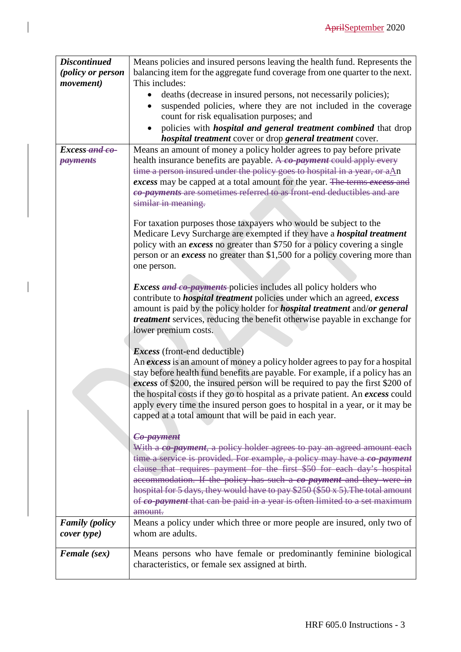| <b>Discontinued</b>   | Means policies and insured persons leaving the health fund. Represents the                                                                         |
|-----------------------|----------------------------------------------------------------------------------------------------------------------------------------------------|
| (policy or person     | balancing item for the aggregate fund coverage from one quarter to the next.                                                                       |
| movement)             | This includes:                                                                                                                                     |
|                       | deaths (decrease in insured persons, not necessarily policies);                                                                                    |
|                       | suspended policies, where they are not included in the coverage                                                                                    |
|                       | count for risk equalisation purposes; and                                                                                                          |
|                       | policies with <i>hospital and general treatment combined</i> that drop                                                                             |
|                       | <i>hospital treatment</i> cover or drop general treatment cover.                                                                                   |
| Excess and co-        | Means an amount of money a policy holder agrees to pay before private                                                                              |
| <b>payments</b>       | health insurance benefits are payable. A co-payment could apply every                                                                              |
|                       | time a person insured under the policy goes to hospital in a year, or aAn                                                                          |
|                       | excess may be capped at a total amount for the year. The terms excess and                                                                          |
|                       | co-payments are sometimes referred to as front end deductibles and are                                                                             |
|                       | similar in meaning.                                                                                                                                |
|                       |                                                                                                                                                    |
|                       | For taxation purposes those taxpayers who would be subject to the<br>Medicare Levy Surcharge are exempted if they have a <i>hospital treatment</i> |
|                       | policy with an <i>excess</i> no greater than \$750 for a policy covering a single                                                                  |
|                       | person or an <i>excess</i> no greater than \$1,500 for a policy covering more than                                                                 |
|                       | one person.                                                                                                                                        |
|                       |                                                                                                                                                    |
|                       | <i>Excess and co-payments</i> -policies includes all policy holders who                                                                            |
|                       | contribute to <i>hospital treatment</i> policies under which an agreed, excess                                                                     |
|                       | amount is paid by the policy holder for <i>hospital treatment</i> and/or general                                                                   |
|                       | <i>treatment</i> services, reducing the benefit otherwise payable in exchange for                                                                  |
|                       | lower premium costs.                                                                                                                               |
|                       |                                                                                                                                                    |
|                       | <i>Excess</i> (front-end deductible)                                                                                                               |
|                       | An excess is an amount of money a policy holder agrees to pay for a hospital                                                                       |
|                       | stay before health fund benefits are payable. For example, if a policy has an                                                                      |
|                       | excess of \$200, the insured person will be required to pay the first \$200 of                                                                     |
|                       | the hospital costs if they go to hospital as a private patient. An excess could                                                                    |
|                       | apply every time the insured person goes to hospital in a year, or it may be                                                                       |
|                       | capped at a total amount that will be paid in each year.                                                                                           |
|                       | Co-payment                                                                                                                                         |
|                       | With a co-payment, a policy holder agrees to pay an agreed amount each                                                                             |
|                       | time a service is provided. For example, a policy may have a co-payment                                                                            |
|                       | clause that requires payment for the first \$50 for each day's hospital                                                                            |
|                       | accommodation. If the policy has such a co-payment and they were in                                                                                |
|                       | hospital for 5 days, they would have to pay \$250 (\$50 x 5). The total amount                                                                     |
|                       | of co-payment that can be paid in a year is often limited to a set maximum                                                                         |
|                       | amount.                                                                                                                                            |
| <b>Family</b> (policy | Means a policy under which three or more people are insured, only two of                                                                           |
| cover type)           | whom are adults.                                                                                                                                   |
|                       |                                                                                                                                                    |
| <b>Female</b> (sex)   | Means persons who have female or predominantly feminine biological                                                                                 |
|                       | characteristics, or female sex assigned at birth.                                                                                                  |
|                       |                                                                                                                                                    |

 $\begin{array}{c} \hline \end{array}$ 

 $\begin{array}{c} \hline \end{array}$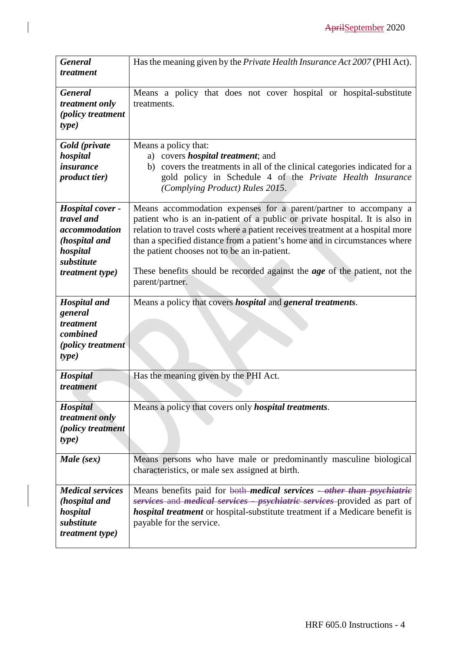| <b>General</b><br>treatment                                                                                          | Has the meaning given by the Private Health Insurance Act 2007 (PHI Act).                                                                                                                                                                                                                                                                                                                                                                                              |
|----------------------------------------------------------------------------------------------------------------------|------------------------------------------------------------------------------------------------------------------------------------------------------------------------------------------------------------------------------------------------------------------------------------------------------------------------------------------------------------------------------------------------------------------------------------------------------------------------|
| <b>General</b><br>treatment only<br><i>(policy treatment</i> )<br>type)                                              | Means a policy that does not cover hospital or hospital-substitute<br>treatments.                                                                                                                                                                                                                                                                                                                                                                                      |
| Gold (private<br>hospital<br><i>insurance</i><br>product tier)                                                       | Means a policy that:<br>a) covers <i>hospital treatment</i> ; and<br>b) covers the treatments in all of the clinical categories indicated for a<br>gold policy in Schedule 4 of the Private Health Insurance<br>(Complying Product) Rules 2015.                                                                                                                                                                                                                        |
| Hospital cover -<br>travel and<br>accommodation<br>(hospital and<br>hospital<br>substitute<br><i>treatment type)</i> | Means accommodation expenses for a parent/partner to accompany a<br>patient who is an in-patient of a public or private hospital. It is also in<br>relation to travel costs where a patient receives treatment at a hospital more<br>than a specified distance from a patient's home and in circumstances where<br>the patient chooses not to be an in-patient.<br>These benefits should be recorded against the <i>age</i> of the patient, not the<br>parent/partner. |
| <b>Hospital</b> and<br>general<br>treatment<br>combined<br><i>(policy treatment)</i><br>type)                        | Means a policy that covers <i>hospital</i> and <i>general treatments</i> .                                                                                                                                                                                                                                                                                                                                                                                             |
| Hospital<br>treatment                                                                                                | Has the meaning given by the PHI Act.                                                                                                                                                                                                                                                                                                                                                                                                                                  |
| <b>Hospital</b><br>treatment only<br>(policy treatment<br>type)                                                      | Means a policy that covers only <i>hospital treatments</i> .                                                                                                                                                                                                                                                                                                                                                                                                           |
| Male (sex)                                                                                                           | Means persons who have male or predominantly masculine biological<br>characteristics, or male sex assigned at birth.                                                                                                                                                                                                                                                                                                                                                   |
| <b>Medical services</b><br>(hospital and<br>hospital<br>substitute<br><i>treatment type)</i>                         | Means benefits paid for both <i>medical services</i> -other than <i>psychiatric</i><br>services and <i>medical services - psychiatric services</i> provided as part of<br><i>hospital treatment</i> or hospital-substitute treatment if a Medicare benefit is<br>payable for the service.                                                                                                                                                                              |

 $\begin{array}{c} \end{array}$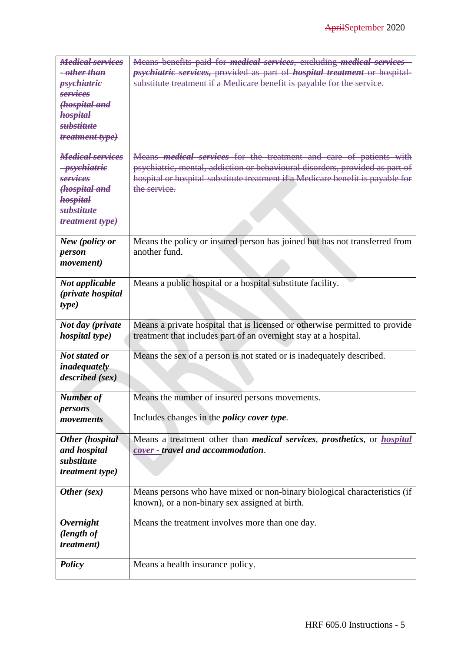| <b>Medical services</b>   | Means benefits paid for <i>medical services</i> , excluding <i>medical services</i> -          |
|---------------------------|------------------------------------------------------------------------------------------------|
| <del>- other than</del>   | <i>psychiatric services</i> , provided as part of <i>hospital treatment</i> or hospital-       |
| <i>psychiatrie</i>        | substitute treatment if a Medicare benefit is payable for the service.                         |
| services                  |                                                                                                |
| (hospital and             |                                                                                                |
| <b>hospital</b>           |                                                                                                |
| <b>substitute</b>         |                                                                                                |
| treatment type)           |                                                                                                |
|                           |                                                                                                |
| <b>Medical services</b>   | Means <i>medical services</i> for the treatment and care of patients with                      |
| <del>- psychiatric</del>  | psychiatric, mental, addiction or behavioural disorders, provided as part of                   |
| services                  | hospital or hospital-substitute treatment if a Medicare benefit is payable for                 |
| (hospital and             | the service.                                                                                   |
| hospital                  |                                                                                                |
| <b>substitute</b>         |                                                                                                |
| treatment type)           |                                                                                                |
|                           |                                                                                                |
| New (policy or            | Means the policy or insured person has joined but has not transferred from                     |
| person                    | another fund.                                                                                  |
| <i>movement</i> )         |                                                                                                |
|                           |                                                                                                |
| Not applicable            | Means a public hospital or a hospital substitute facility.                                     |
| <i>(private hospital)</i> |                                                                                                |
| type)                     |                                                                                                |
|                           |                                                                                                |
|                           |                                                                                                |
| Not day (private          | Means a private hospital that is licensed or otherwise permitted to provide                    |
| <i>hospital type)</i>     | treatment that includes part of an overnight stay at a hospital.                               |
|                           |                                                                                                |
| <b>Not stated or</b>      | Means the sex of a person is not stated or is inadequately described.                          |
| inadequately              |                                                                                                |
| described (sex)           |                                                                                                |
| <b>Number of</b>          | Means the number of insured persons movements.                                                 |
| persons                   |                                                                                                |
| movements                 | Includes changes in the <i>policy cover type</i> .                                             |
|                           |                                                                                                |
| <b>Other (hospital</b>    | Means a treatment other than <i>medical services</i> , <i>prosthetics</i> , or <i>hospital</i> |
| and hospital              | cover - travel and accommodation.                                                              |
| substitute                |                                                                                                |
| <i>treatment type)</i>    |                                                                                                |
|                           |                                                                                                |
| Other (sex)               | Means persons who have mixed or non-binary biological characteristics (if                      |
|                           | known), or a non-binary sex assigned at birth.                                                 |
| <b>Overnight</b>          |                                                                                                |
|                           | Means the treatment involves more than one day.                                                |
| (length of                |                                                                                                |
| <i>treatment</i> )        |                                                                                                |
| <b>Policy</b>             | Means a health insurance policy.                                                               |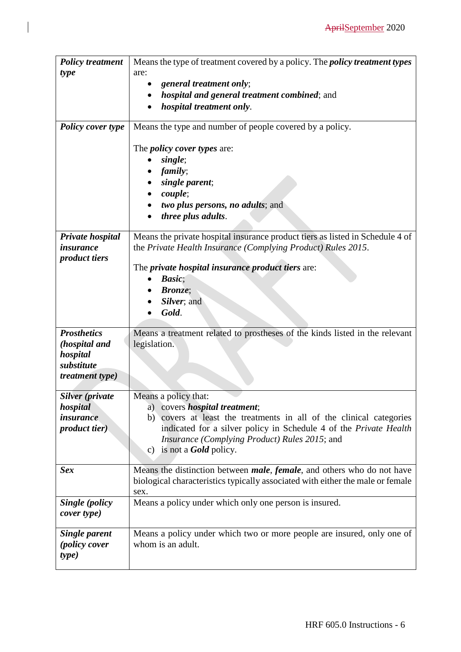| <b>Policy treatment</b>               | Means the type of treatment covered by a policy. The <i>policy treatment types</i>          |
|---------------------------------------|---------------------------------------------------------------------------------------------|
| type                                  | are:                                                                                        |
|                                       | general treatment only;                                                                     |
|                                       | <i>hospital and general treatment combined; and</i>                                         |
|                                       | <i>hospital treatment only.</i>                                                             |
| <b>Policy cover type</b>              | Means the type and number of people covered by a policy.                                    |
|                                       | The <i>policy cover types</i> are:                                                          |
|                                       | single;                                                                                     |
|                                       | <i>family</i> ;                                                                             |
|                                       | single parent;                                                                              |
|                                       | couple;                                                                                     |
|                                       | two plus persons, no adults; and                                                            |
|                                       | three plus adults.                                                                          |
|                                       |                                                                                             |
| Private hospital                      | Means the private hospital insurance product tiers as listed in Schedule 4 of               |
| <i>insurance</i>                      | the Private Health Insurance (Complying Product) Rules 2015.                                |
| <i>product tiers</i>                  | The <i>private hospital insurance product tiers</i> are:                                    |
|                                       | <b>Basic</b> ;                                                                              |
|                                       | <b>Bronze</b> ;                                                                             |
|                                       | Silver; and                                                                                 |
|                                       | Gold.                                                                                       |
|                                       |                                                                                             |
| <b>Prosthetics</b>                    | Means a treatment related to prostheses of the kinds listed in the relevant                 |
| (hospital and                         | legislation.                                                                                |
| hospital                              |                                                                                             |
| substitute                            |                                                                                             |
| <i>treatment type)</i>                |                                                                                             |
| Silver (private                       | Means a policy that:                                                                        |
| hospital                              | a) covers <i>hospital treatment</i> ;                                                       |
| <i>insurance</i>                      | covers at least the treatments in all of the clinical categories<br>b)                      |
| <i>product tier</i> )                 | indicated for a silver policy in Schedule 4 of the Private Health                           |
|                                       | <i>Insurance (Complying Product) Rules 2015; and</i>                                        |
|                                       | c) is not a <b>Gold</b> policy.                                                             |
| <b>Sex</b>                            | Means the distinction between <i>male</i> , <i>female</i> , and others who do not have      |
|                                       | biological characteristics typically associated with either the male or female              |
|                                       | sex.                                                                                        |
| Single (policy                        | Means a policy under which only one person is insured.                                      |
| cover type)                           |                                                                                             |
|                                       |                                                                                             |
| <b>Single parent</b><br>(policy cover | Means a policy under which two or more people are insured, only one of<br>whom is an adult. |
| type)                                 |                                                                                             |
|                                       |                                                                                             |

 $\begin{array}{c} \rule{0pt}{2.5ex} \rule{0pt}{2.5ex} \rule{0pt}{2.5ex} \rule{0pt}{2.5ex} \rule{0pt}{2.5ex} \rule{0pt}{2.5ex} \rule{0pt}{2.5ex} \rule{0pt}{2.5ex} \rule{0pt}{2.5ex} \rule{0pt}{2.5ex} \rule{0pt}{2.5ex} \rule{0pt}{2.5ex} \rule{0pt}{2.5ex} \rule{0pt}{2.5ex} \rule{0pt}{2.5ex} \rule{0pt}{2.5ex} \rule{0pt}{2.5ex} \rule{0pt}{2.5ex} \rule{0pt}{2.5ex} \rule{0$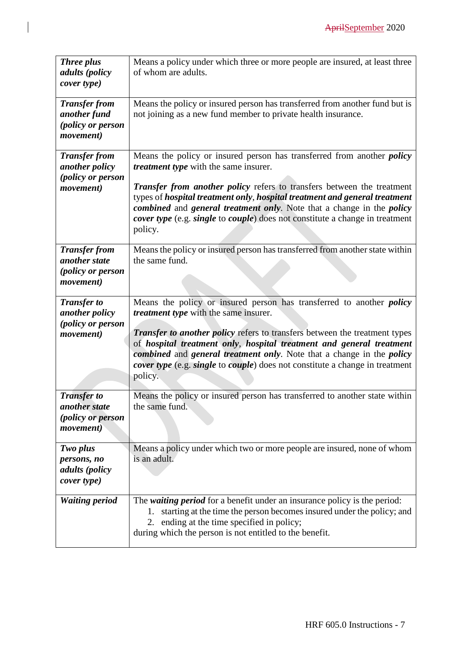| <b>Three plus</b><br><i>adults</i> ( <i>policy</i><br>cover type)                    | Means a policy under which three or more people are insured, at least three<br>of whom are adults.                                                                                                                                                                                                                                                                                                                                                           |
|--------------------------------------------------------------------------------------|--------------------------------------------------------------------------------------------------------------------------------------------------------------------------------------------------------------------------------------------------------------------------------------------------------------------------------------------------------------------------------------------------------------------------------------------------------------|
| <b>Transfer from</b><br>another fund<br>(policy or person<br>movement)               | Means the policy or insured person has transferred from another fund but is<br>not joining as a new fund member to private health insurance.                                                                                                                                                                                                                                                                                                                 |
| <b>Transfer from</b><br>another policy<br>(policy or person                          | Means the policy or insured person has transferred from another <i>policy</i><br><i>treatment type</i> with the same insurer.                                                                                                                                                                                                                                                                                                                                |
| <i>movement</i> )                                                                    | <b>Transfer from another policy refers to transfers between the treatment</b><br>types of hospital treatment only, hospital treatment and general treatment<br>combined and general treatment only. Note that a change in the policy<br>cover type (e.g. single to couple) does not constitute a change in treatment<br>policy.                                                                                                                              |
| <b>Transfer from</b><br>another state<br>(policy or person<br><i>movement</i> )      | Means the policy or insured person has transferred from another state within<br>the same fund.                                                                                                                                                                                                                                                                                                                                                               |
| <b>Transfer to</b><br>another policy<br>(policy or person<br><i>movement</i> )       | Means the policy or insured person has transferred to another <i>policy</i><br><i>treatment type</i> with the same insurer.<br><b>Transfer to another policy refers to transfers between the treatment types</b><br>of hospital treatment only, hospital treatment and general treatment<br>combined and general treatment only. Note that a change in the policy<br>cover type (e.g. single to couple) does not constitute a change in treatment<br>policy. |
| <b>Transfer to</b><br>another state<br><i>(policy or person</i><br><i>movement</i> ) | Means the policy or insured person has transferred to another state within<br>the same fund.                                                                                                                                                                                                                                                                                                                                                                 |
| Two plus<br>persons, no<br>adults (policy<br>cover type)                             | Means a policy under which two or more people are insured, none of whom<br>is an adult.                                                                                                                                                                                                                                                                                                                                                                      |
| <b>Waiting period</b>                                                                | The waiting period for a benefit under an insurance policy is the period:<br>starting at the time the person becomes insured under the policy; and<br>1.<br>ending at the time specified in policy;<br>2.<br>during which the person is not entitled to the benefit.                                                                                                                                                                                         |

 $\begin{array}{c} \rule{0pt}{2.5ex} \rule{0pt}{2.5ex} \rule{0pt}{2.5ex} \rule{0pt}{2.5ex} \rule{0pt}{2.5ex} \rule{0pt}{2.5ex} \rule{0pt}{2.5ex} \rule{0pt}{2.5ex} \rule{0pt}{2.5ex} \rule{0pt}{2.5ex} \rule{0pt}{2.5ex} \rule{0pt}{2.5ex} \rule{0pt}{2.5ex} \rule{0pt}{2.5ex} \rule{0pt}{2.5ex} \rule{0pt}{2.5ex} \rule{0pt}{2.5ex} \rule{0pt}{2.5ex} \rule{0pt}{2.5ex} \rule{0$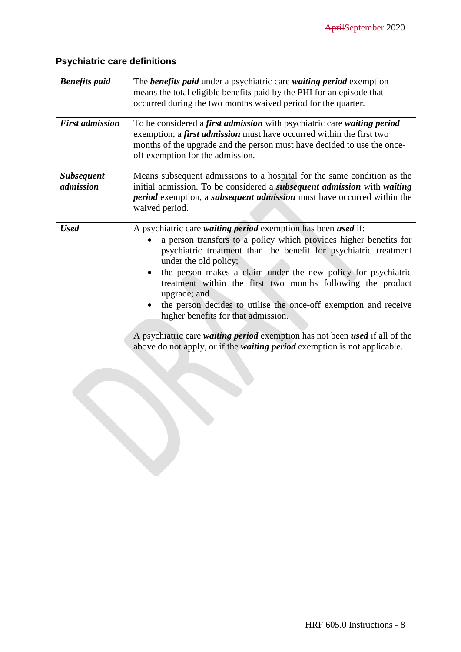## **Psychiatric care definitions**

| <b>Benefits paid</b>           | The <b>benefits paid</b> under a psychiatric care waiting period exemption<br>means the total eligible benefits paid by the PHI for an episode that<br>occurred during the two months waived period for the quarter.                                                                                                                                                                                                                                                                                                                                                                                                                                          |
|--------------------------------|---------------------------------------------------------------------------------------------------------------------------------------------------------------------------------------------------------------------------------------------------------------------------------------------------------------------------------------------------------------------------------------------------------------------------------------------------------------------------------------------------------------------------------------------------------------------------------------------------------------------------------------------------------------|
| <b>First admission</b>         | To be considered a first admission with psychiatric care waiting period<br>exemption, a first admission must have occurred within the first two<br>months of the upgrade and the person must have decided to use the once-<br>off exemption for the admission.                                                                                                                                                                                                                                                                                                                                                                                                |
| <b>Subsequent</b><br>admission | Means subsequent admissions to a hospital for the same condition as the<br>initial admission. To be considered a <i>subsequent admission</i> with waiting<br><i>period</i> exemption, a <i>subsequent admission</i> must have occurred within the<br>waived period.                                                                                                                                                                                                                                                                                                                                                                                           |
| <b>Used</b>                    | A psychiatric care waiting period exemption has been used if:<br>a person transfers to a policy which provides higher benefits for<br>psychiatric treatment than the benefit for psychiatric treatment<br>under the old policy;<br>the person makes a claim under the new policy for psychiatric<br>treatment within the first two months following the product<br>upgrade; and<br>the person decides to utilise the once-off exemption and receive<br>higher benefits for that admission.<br>A psychiatric care waiting period exemption has not been used if all of the<br>above do not apply, or if the <i>waiting period</i> exemption is not applicable. |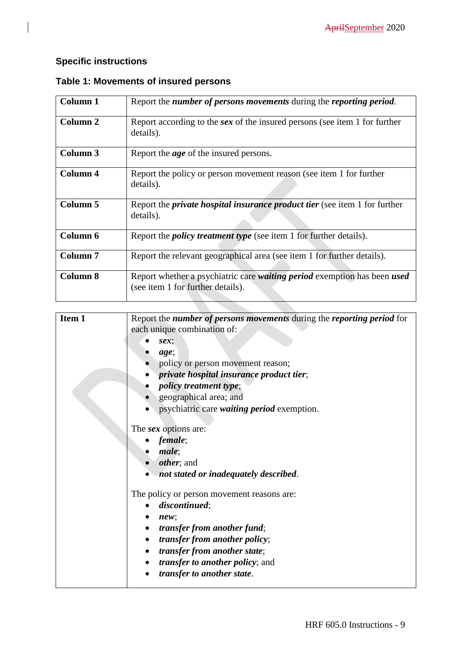## **Specific instructions**

| Column 1        | Report the number of persons movements during the reporting period.                                           |
|-----------------|---------------------------------------------------------------------------------------------------------------|
| Column 2        | Report according to the <i>sex</i> of the insured persons (see item 1 for further<br>details).                |
| Column 3        | Report the <i>age</i> of the insured persons.                                                                 |
| Column 4        | Report the policy or person movement reason (see item 1 for further<br>details).                              |
| Column 5        | Report the <i>private hospital insurance product tier</i> (see item 1 for further<br>details).                |
| Column 6        | Report the <i>policy treatment type</i> (see item 1 for further details).                                     |
| <b>Column 7</b> | Report the relevant geographical area (see item 1 for further details).                                       |
| <b>Column 8</b> | Report whether a psychiatric care waiting period exemption has been used<br>(see item 1 for further details). |

## **Table 1: Movements of insured persons**

| Item 1 | Report the number of persons movements during the reporting period for |
|--------|------------------------------------------------------------------------|
|        | each unique combination of:                                            |
|        | $sex$ ;                                                                |
|        | age;                                                                   |
|        | policy or person movement reason;                                      |
|        | private hospital insurance product tier;                               |
|        | <i>policy treatment type;</i>                                          |
|        | geographical area; and                                                 |
|        | psychiatric care <i>waiting period</i> exemption.                      |
|        | The <i>sex</i> options are:                                            |
|        | female;                                                                |
|        | male;                                                                  |
|        | <i>other</i> ; and                                                     |
|        | not stated or inadequately described.                                  |
|        | The policy or person movement reasons are:                             |
|        | discontinued;                                                          |
|        | new:                                                                   |
|        | <i>transfer from another fund;</i>                                     |
|        | <i>transfer from another policy;</i>                                   |
|        | transfer from another state;                                           |
|        | <i>transfer to another policy</i> ; and                                |
|        | transfer to another state.                                             |
|        |                                                                        |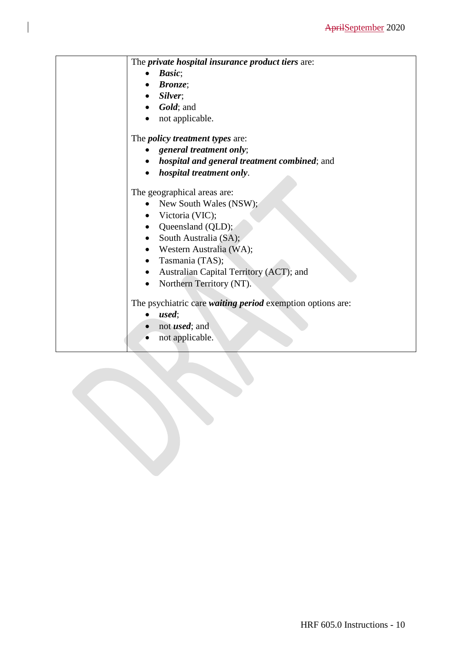| The <i>private hospital insurance product tiers</i> are:          |
|-------------------------------------------------------------------|
| Basic;                                                            |
| <b>Bronze</b> ;                                                   |
| Silver;                                                           |
| Gold; and                                                         |
| not applicable.                                                   |
| The <i>policy treatment types</i> are:                            |
| general treatment only;                                           |
| <i>hospital and general treatment combined; and</i>               |
| hospital treatment only.                                          |
| The geographical areas are:                                       |
| New South Wales (NSW);                                            |
| Victoria (VIC);                                                   |
| • Queensland (QLD);                                               |
| South Australia (SA);<br>$\bullet$                                |
| • Western Australia (WA);                                         |
| Tasmania (TAS);<br>$\bullet$                                      |
| Australian Capital Territory (ACT); and                           |
| Northern Territory (NT).<br>$\bullet$                             |
| The psychiatric care <i>waiting period</i> exemption options are: |
| used;                                                             |
| not <i>used</i> ; and<br>$\bullet$                                |
| not applicable.                                                   |
|                                                                   |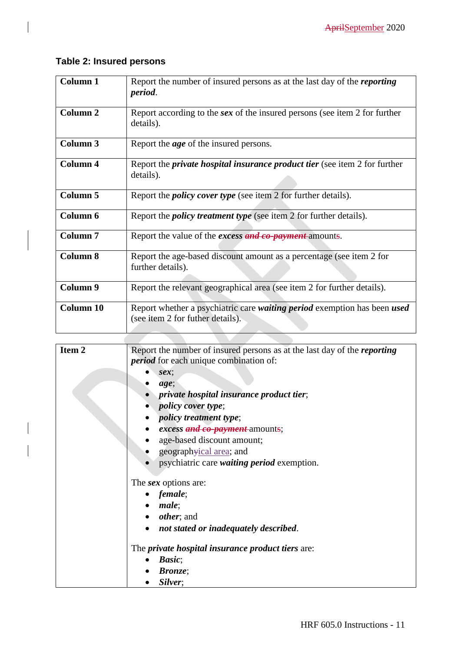## **Table 2: Insured persons**

| <b>Column 1</b>     | Report the number of insured persons as at the last day of the <i>reporting</i><br>period.                   |
|---------------------|--------------------------------------------------------------------------------------------------------------|
| Column <sub>2</sub> | Report according to the sex of the insured persons (see item 2 for further<br>details).                      |
| <b>Column 3</b>     | Report the <i>age</i> of the insured persons.                                                                |
| Column 4            | Report the <i>private hospital insurance product tier</i> (see item 2 for further<br>details).               |
| Column 5            | Report the <i>policy cover type</i> (see item 2 for further details).                                        |
| Column 6            | Report the <i>policy treatment type</i> (see item 2 for further details).                                    |
| Column <sub>7</sub> | Report the value of the <i>excess and co-payment</i> -amounts.                                               |
| <b>Column 8</b>     | Report the age-based discount amount as a percentage (see item 2 for<br>further details).                    |
| Column 9            | Report the relevant geographical area (see item 2 for further details).                                      |
| Column 10           | Report whether a psychiatric care waiting period exemption has been used<br>(see item 2 for futher details). |

| Item <sub>2</sub> | Report the number of insured persons as at the last day of the <i>reporting</i><br><i>period</i> for each unique combination of: |
|-------------------|----------------------------------------------------------------------------------------------------------------------------------|
|                   | $sex$ ;                                                                                                                          |
|                   | age;                                                                                                                             |
|                   | <i>private hospital insurance product tier;</i>                                                                                  |
|                   | <i>policy cover type;</i>                                                                                                        |
|                   | <i>policy treatment type;</i>                                                                                                    |
|                   | excess and co-payment amounts;                                                                                                   |
|                   | age-based discount amount;                                                                                                       |
|                   | geographyical area; and                                                                                                          |
|                   | psychiatric care <i>waiting period</i> exemption.                                                                                |
|                   | The <i>sex</i> options are:                                                                                                      |
|                   | female;                                                                                                                          |
|                   | male;                                                                                                                            |
|                   | <i>other</i> ; and                                                                                                               |
|                   | not stated or inadequately described.                                                                                            |
|                   | The <i>private hospital insurance product tiers</i> are:                                                                         |
|                   | Basic;                                                                                                                           |
|                   | <i>Bronze</i> ;                                                                                                                  |
|                   | Silver;                                                                                                                          |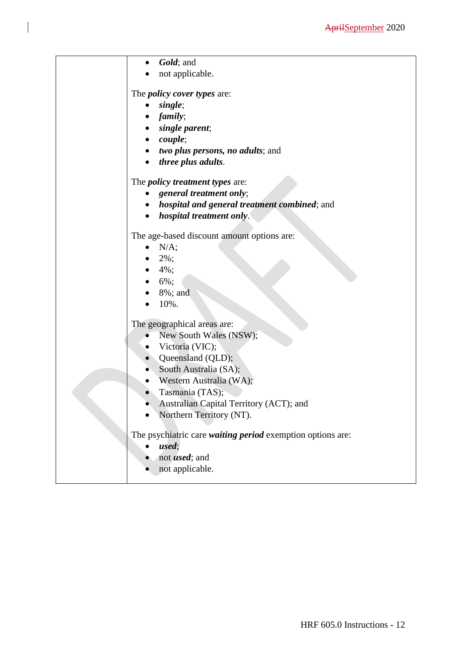| Gold; and                                                  |
|------------------------------------------------------------|
| not applicable.                                            |
|                                                            |
| The <i>policy cover types</i> are:                         |
| single;                                                    |
| family;                                                    |
| single parent;                                             |
| couple;                                                    |
| two plus persons, no adults; and                           |
| <i>three plus adults.</i>                                  |
| The <i>policy treatment types</i> are:                     |
| general treatment only;                                    |
| hospital and general treatment combined; and               |
| hospital treatment only.                                   |
|                                                            |
| The age-based discount amount options are:                 |
| N/A;                                                       |
| 2%;                                                        |
| $4\%$ ;                                                    |
| 6%;                                                        |
| 8%; and                                                    |
| 10%.                                                       |
| The geographical areas are:                                |
| New South Wales (NSW);                                     |
| Victoria (VIC);                                            |
| • Queensland (QLD);                                        |
| South Australia (SA);                                      |
| Western Australia (WA);                                    |
| Tasmania (TAS);                                            |
| Australian Capital Territory (ACT); and                    |
| Northern Territory (NT).                                   |
|                                                            |
| The psychiatric care waiting period exemption options are: |
| used;                                                      |
| not <i>used</i> ; and                                      |
| not applicable.                                            |
|                                                            |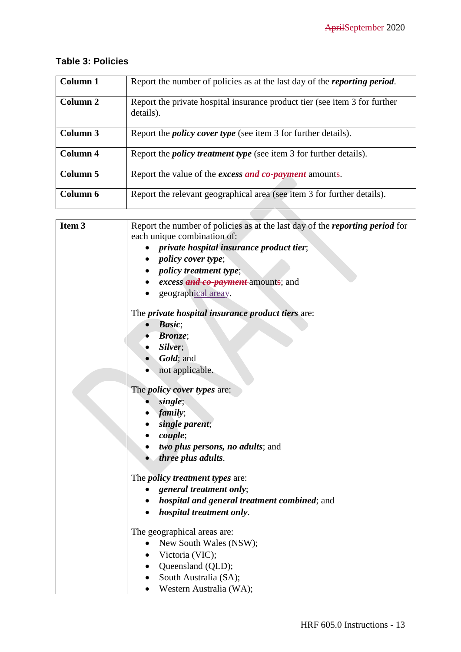## **Table 3: Policies**

| Column 1 | Report the number of policies as at the last day of the <i>reporting period</i> .       |
|----------|-----------------------------------------------------------------------------------------|
| Column 2 | Report the private hospital insurance product tier (see item 3 for further<br>details). |
| Column 3 | Report the <i>policy cover type</i> (see item 3 for further details).                   |
| Column 4 | Report the <i>policy treatment type</i> (see item 3 for further details).               |
| Column 5 | Report the value of the <i>excess</i> and co-payment-amounts.                           |
| Column 6 | Report the relevant geographical area (see item 3 for further details).                 |

| Item 3 | Report the number of policies as at the last day of the <i>reporting period</i> for |
|--------|-------------------------------------------------------------------------------------|
|        | each unique combination of:                                                         |
|        | private hospital insurance product tier;                                            |
|        | <i>policy cover type</i> ;                                                          |
|        | <i>policy treatment type</i> ;                                                      |
|        | excess and co-payment amounts; and                                                  |
|        | geographical areay.                                                                 |
|        | The <i>private hospital insurance product tiers</i> are:                            |
|        | <b>Basic</b> ;                                                                      |
|        | <b>Bronze:</b>                                                                      |
|        | Silver;                                                                             |
|        | $\bullet$ <i>Gold</i> ; and                                                         |
|        | not applicable.                                                                     |
|        | The <i>policy cover types</i> are:                                                  |
|        | single;                                                                             |
|        | family;                                                                             |
|        | single parent;                                                                      |
|        | couple;                                                                             |
|        | <i>two plus persons, no adults; and</i>                                             |
|        | three plus adults.                                                                  |
|        | The <i>policy treatment types</i> are:                                              |
|        | general treatment only;                                                             |
|        | • hospital and general treatment combined; and                                      |
|        | hospital treatment only.                                                            |
|        | The geographical areas are:                                                         |
|        | New South Wales (NSW);                                                              |
|        | Victoria (VIC);                                                                     |
|        | Queensland (QLD);                                                                   |
|        | South Australia (SA);                                                               |
|        | Western Australia (WA);                                                             |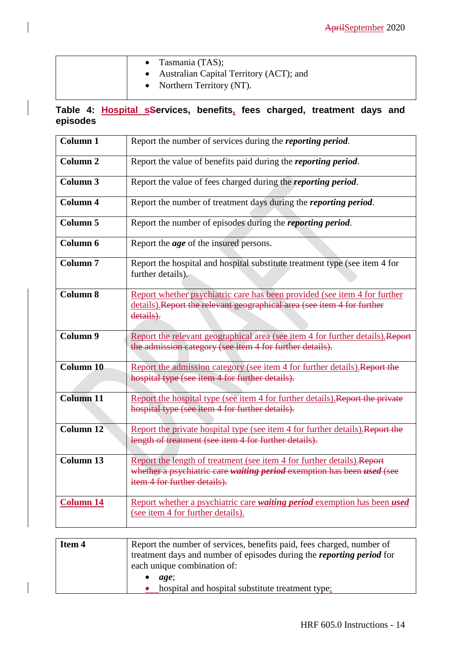| • Tasmania $(TAS)$ ;<br>Australian Capital Territory (ACT); and<br>• Northern Territory $(NT)$ . |  |
|--------------------------------------------------------------------------------------------------|--|
|--------------------------------------------------------------------------------------------------|--|

## **Table 4: Hospital sServices, benefits, fees charged, treatment days and episodes**

| <b>Column 1</b>     | Report the number of services during the <i>reporting period</i> .                                                                                                                |
|---------------------|-----------------------------------------------------------------------------------------------------------------------------------------------------------------------------------|
| Column <sub>2</sub> | Report the value of benefits paid during the <i>reporting period</i> .                                                                                                            |
| Column <sub>3</sub> | Report the value of fees charged during the <i>reporting period</i> .                                                                                                             |
| <b>Column 4</b>     | Report the number of treatment days during the <i>reporting period</i> .                                                                                                          |
| <b>Column 5</b>     | Report the number of episodes during the <i>reporting period</i> .                                                                                                                |
| Column 6            | Report the <i>age</i> of the insured persons.                                                                                                                                     |
| <b>Column 7</b>     | Report the hospital and hospital substitute treatment type (see item 4 for<br>further details).                                                                                   |
| <b>Column 8</b>     | Report whether psychiatric care has been provided (see item 4 for further<br>details). Report the relevant geographical area (see item 4 for further<br>details).                 |
| Column 9            | Report the relevant geographical area (see item 4 for further details). Report<br>the admission category (see item 4 for further details).                                        |
| <b>Column 10</b>    | Report the admission category (see item 4 for further details). Report the<br>hospital type (see item 4 for further details).                                                     |
| <b>Column 11</b>    | Report the hospital type (see item 4 for further details). Report the private<br>hospital type (see item 4 for further details).                                                  |
| <b>Column 12</b>    | Report the private hospital type (see item 4 for further details). Report the<br>length of treatment (see item 4 for further details).                                            |
| Column 13           | Report the length of treatment (see item 4 for further details). Report<br>whether a psychiatric care waiting period exemption has been used (see<br>item 4 for further details). |
| <b>Column 14</b>    | Report whether a psychiatric care waiting period exemption has been used<br>(see item 4 for further details).                                                                     |
|                     |                                                                                                                                                                                   |

| Item 4 | Report the number of services, benefits paid, fees charged, number of        |
|--------|------------------------------------------------------------------------------|
|        | treatment days and number of episodes during the <i>reporting period</i> for |
|        | each unique combination of:                                                  |
|        | age:                                                                         |
|        | hospital and hospital substitute treatment type;                             |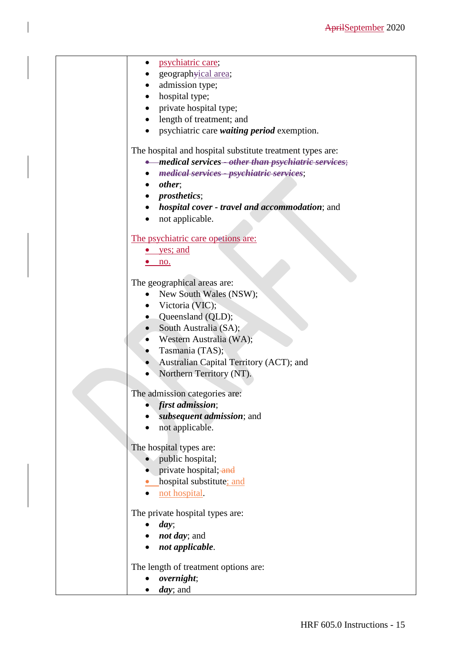| psychiatric care;                                         |
|-----------------------------------------------------------|
| geographyical area;                                       |
| admission type;                                           |
| hospital type;                                            |
| private hospital type;                                    |
| length of treatment; and                                  |
| psychiatric care <i>waiting period</i> exemption.         |
|                                                           |
| The hospital and hospital substitute treatment types are: |
| • medical services - other than psychiatric services;     |
| medical services - psychiatric services;                  |
| other;                                                    |
| <i>prosthetics</i> ;                                      |
| hospital cover - travel and accommodation; and            |
| not applicable.<br>$\bullet$                              |
|                                                           |
| The psychiatric care opetions are:                        |
| yes; and                                                  |
| no.                                                       |
|                                                           |
| The geographical areas are:                               |
| New South Wales (NSW);                                    |
| Victoria (VIC);                                           |
| Queensland (QLD);                                         |
| South Australia (SA);<br>$\bullet$                        |
| Western Australia (WA);                                   |
| Tasmania (TAS);                                           |
| Australian Capital Territory (ACT); and                   |
| Northern Territory (NT).                                  |
|                                                           |
| The admission categories are:                             |
| first admission;                                          |
| subsequent admission; and                                 |
| not applicable.                                           |
|                                                           |
| The hospital types are:                                   |
| public hospital;                                          |
| private hospital; and                                     |
| hospital substitute; and                                  |
| not hospital.                                             |
|                                                           |
| The private hospital types are:                           |
| day;                                                      |
| <i>not day</i> ; and                                      |
| not applicable.                                           |
| The length of treatment options are:                      |
| overnight;                                                |
| <i>day</i> ; and                                          |
|                                                           |